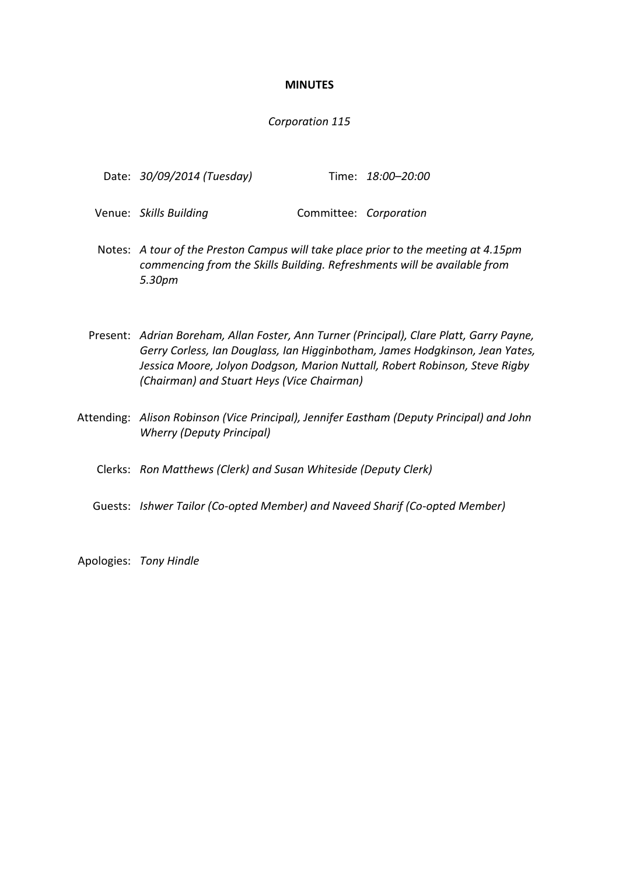### **MINUTES**

### *Corporation 115*

| Date: 30/09/2014 (Tuesday) | Time: 18:00-20:00 |
|----------------------------|-------------------|
|                            |                   |

- Venue: *Skills Building* Committee: *Corporation*
- Notes: *A tour of the Preston Campus will take place prior to the meeting at 4.15pm commencing from the Skills Building. Refreshments will be available from 5.30pm*
- Present: *Adrian Boreham, Allan Foster, Ann Turner (Principal), Clare Platt, Garry Payne, Gerry Corless, Ian Douglass, Ian Higginbotham, James Hodgkinson, Jean Yates, Jessica Moore, Jolyon Dodgson, Marion Nuttall, Robert Robinson, Steve Rigby (Chairman) and Stuart Heys (Vice Chairman)*
- Attending: *Alison Robinson (Vice Principal), Jennifer Eastham (Deputy Principal) and John Wherry (Deputy Principal)*
	- Clerks: *Ron Matthews (Clerk) and Susan Whiteside (Deputy Clerk)*
	- Guests: *Ishwer Tailor (Co-opted Member) and Naveed Sharif (Co-opted Member)*

Apologies: *Tony Hindle*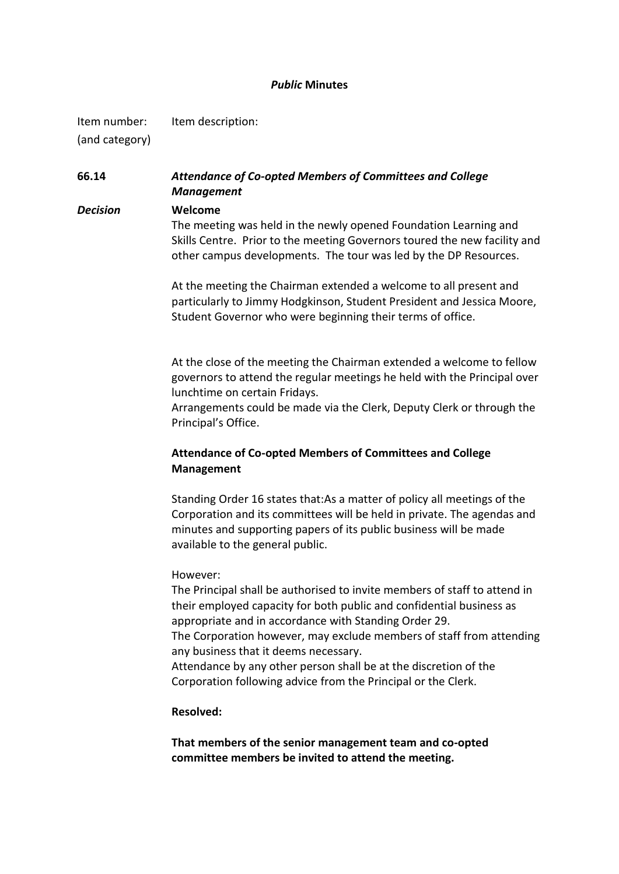### *Public* **Minutes**

Item number: Item description: (and category)

**66.14** *Attendance of Co-opted Members of Committees and College Management*

*Decision* **Welcome** The meeting was held in the newly opened Foundation Learning and Skills Centre. Prior to the meeting Governors toured the new facility and other campus developments. The tour was led by the DP Resources.

> At the meeting the Chairman extended a welcome to all present and particularly to Jimmy Hodgkinson, Student President and Jessica Moore, Student Governor who were beginning their terms of office.

> At the close of the meeting the Chairman extended a welcome to fellow governors to attend the regular meetings he held with the Principal over lunchtime on certain Fridays.

> Arrangements could be made via the Clerk, Deputy Clerk or through the Principal's Office.

# **Attendance of Co-opted Members of Committees and College Management**

Standing Order 16 states that:As a matter of policy all meetings of the Corporation and its committees will be held in private. The agendas and minutes and supporting papers of its public business will be made available to the general public.

### However:

The Principal shall be authorised to invite members of staff to attend in their employed capacity for both public and confidential business as appropriate and in accordance with Standing Order 29. The Corporation however, may exclude members of staff from attending any business that it deems necessary. Attendance by any other person shall be at the discretion of the Corporation following advice from the Principal or the Clerk.

### **Resolved:**

**That members of the senior management team and co-opted committee members be invited to attend the meeting.**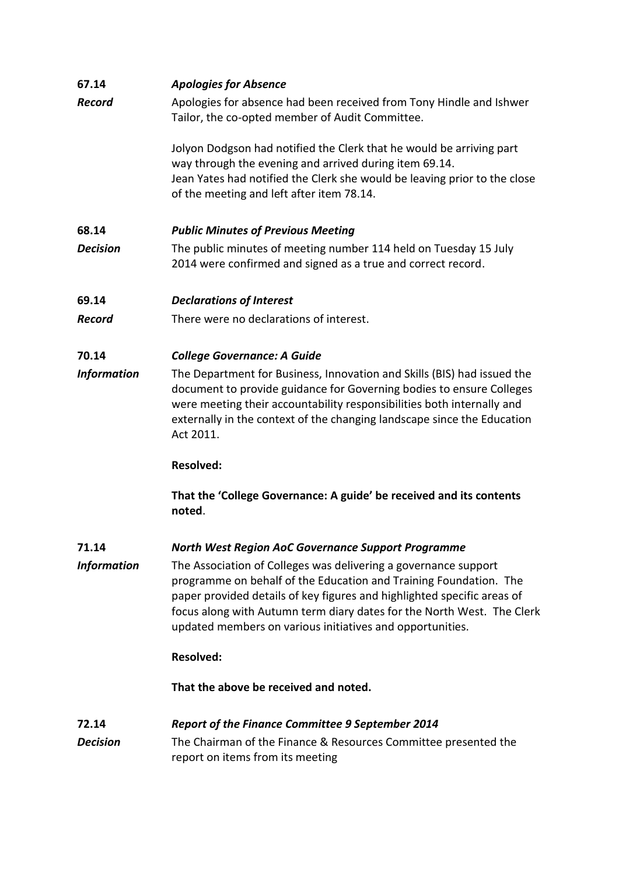| 67.14                    | <b>Apologies for Absence</b>                                                                                                                                                                                                                                                                                                                           |  |  |
|--------------------------|--------------------------------------------------------------------------------------------------------------------------------------------------------------------------------------------------------------------------------------------------------------------------------------------------------------------------------------------------------|--|--|
| <b>Record</b>            | Apologies for absence had been received from Tony Hindle and Ishwer<br>Tailor, the co-opted member of Audit Committee.                                                                                                                                                                                                                                 |  |  |
|                          | Jolyon Dodgson had notified the Clerk that he would be arriving part<br>way through the evening and arrived during item 69.14.<br>Jean Yates had notified the Clerk she would be leaving prior to the close<br>of the meeting and left after item 78.14.                                                                                               |  |  |
| 68.14                    | <b>Public Minutes of Previous Meeting</b>                                                                                                                                                                                                                                                                                                              |  |  |
| <b>Decision</b>          | The public minutes of meeting number 114 held on Tuesday 15 July<br>2014 were confirmed and signed as a true and correct record.                                                                                                                                                                                                                       |  |  |
| 69.14                    | <b>Declarations of Interest</b>                                                                                                                                                                                                                                                                                                                        |  |  |
| <b>Record</b>            | There were no declarations of interest.                                                                                                                                                                                                                                                                                                                |  |  |
| 70.14                    | <b>College Governance: A Guide</b>                                                                                                                                                                                                                                                                                                                     |  |  |
| <b>Information</b>       | The Department for Business, Innovation and Skills (BIS) had issued the<br>document to provide guidance for Governing bodies to ensure Colleges<br>were meeting their accountability responsibilities both internally and<br>externally in the context of the changing landscape since the Education<br>Act 2011.                                      |  |  |
|                          | <b>Resolved:</b>                                                                                                                                                                                                                                                                                                                                       |  |  |
|                          | That the 'College Governance: A guide' be received and its contents<br>noted.                                                                                                                                                                                                                                                                          |  |  |
| 71.14                    | <b>North West Region AoC Governance Support Programme</b>                                                                                                                                                                                                                                                                                              |  |  |
| <b>Information</b>       | The Association of Colleges was delivering a governance support<br>programme on behalf of the Education and Training Foundation. The<br>paper provided details of key figures and highlighted specific areas of<br>focus along with Autumn term diary dates for the North West. The Clerk<br>updated members on various initiatives and opportunities. |  |  |
|                          | <b>Resolved:</b>                                                                                                                                                                                                                                                                                                                                       |  |  |
|                          | That the above be received and noted.                                                                                                                                                                                                                                                                                                                  |  |  |
| 72.14<br><b>Decision</b> | <b>Report of the Finance Committee 9 September 2014</b><br>The Chairman of the Finance & Resources Committee presented the<br>report on items from its meeting                                                                                                                                                                                         |  |  |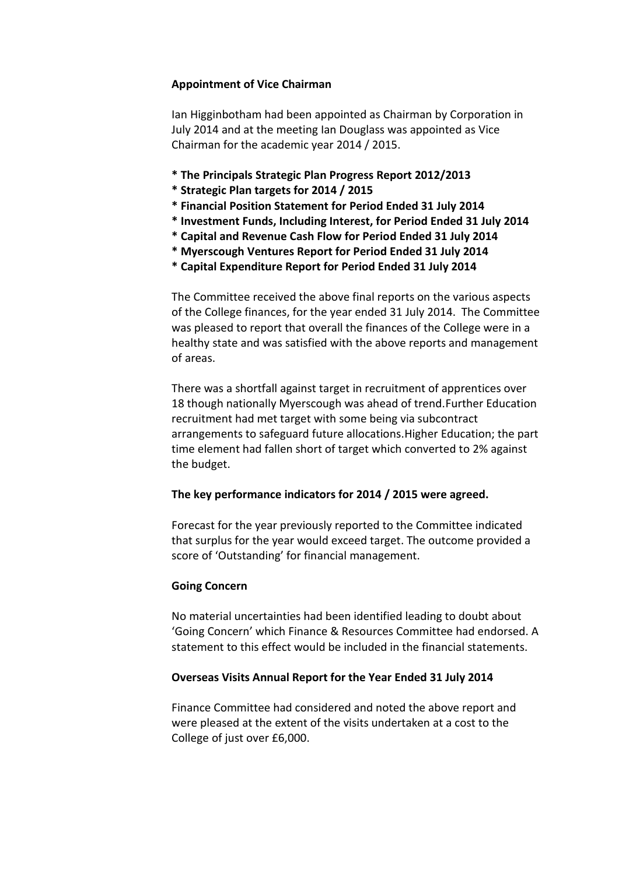# **Appointment of Vice Chairman**

Ian Higginbotham had been appointed as Chairman by Corporation in July 2014 and at the meeting Ian Douglass was appointed as Vice Chairman for the academic year 2014 / 2015.

- **\* The Principals Strategic Plan Progress Report 2012/2013**
- **\* Strategic Plan targets for 2014 / 2015**
- **\* Financial Position Statement for Period Ended 31 July 2014**
- **\* Investment Funds, Including Interest, for Period Ended 31 July 2014**
- **\* Capital and Revenue Cash Flow for Period Ended 31 July 2014**
- **\* Myerscough Ventures Report for Period Ended 31 July 2014**
- **\* Capital Expenditure Report for Period Ended 31 July 2014**

The Committee received the above final reports on the various aspects of the College finances, for the year ended 31 July 2014. The Committee was pleased to report that overall the finances of the College were in a healthy state and was satisfied with the above reports and management of areas.

There was a shortfall against target in recruitment of apprentices over 18 though nationally Myerscough was ahead of trend.Further Education recruitment had met target with some being via subcontract arrangements to safeguard future allocations.Higher Education; the part time element had fallen short of target which converted to 2% against the budget.

# **The key performance indicators for 2014 / 2015 were agreed.**

Forecast for the year previously reported to the Committee indicated that surplus for the year would exceed target. The outcome provided a score of 'Outstanding' for financial management.

# **Going Concern**

No material uncertainties had been identified leading to doubt about 'Going Concern' which Finance & Resources Committee had endorsed. A statement to this effect would be included in the financial statements.

# **Overseas Visits Annual Report for the Year Ended 31 July 2014**

Finance Committee had considered and noted the above report and were pleased at the extent of the visits undertaken at a cost to the College of just over £6,000.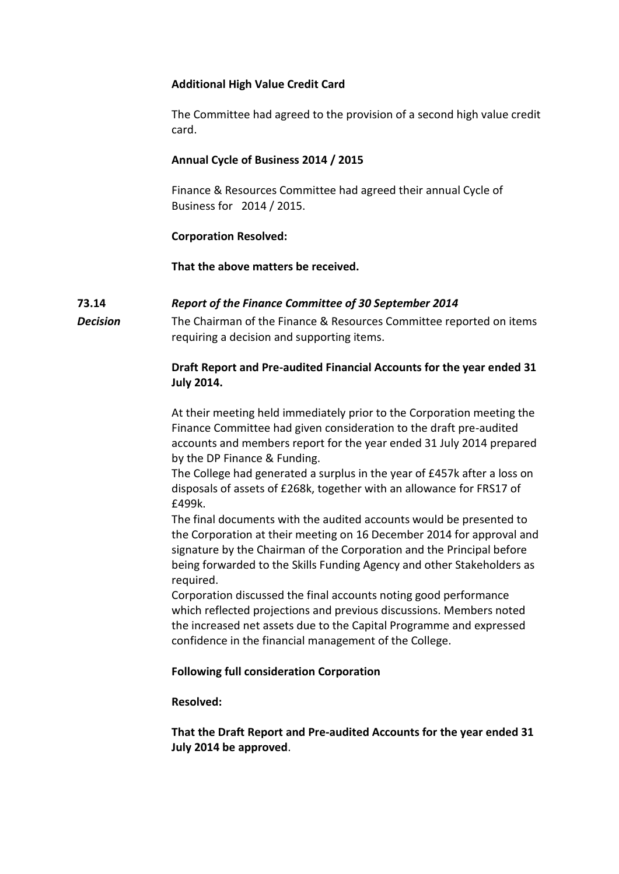# **Additional High Value Credit Card**

The Committee had agreed to the provision of a second high value credit card.

# **Annual Cycle of Business 2014 / 2015**

Finance & Resources Committee had agreed their annual Cycle of Business for 2014 / 2015.

# **Corporation Resolved:**

**That the above matters be received.**

# **73.14** *Report of the Finance Committee of 30 September 2014*

*Decision* The Chairman of the Finance & Resources Committee reported on items requiring a decision and supporting items.

# **Draft Report and Pre-audited Financial Accounts for the year ended 31 July 2014.**

At their meeting held immediately prior to the Corporation meeting the Finance Committee had given consideration to the draft pre-audited accounts and members report for the year ended 31 July 2014 prepared by the DP Finance & Funding.

The College had generated a surplus in the year of £457k after a loss on disposals of assets of £268k, together with an allowance for FRS17 of £499k.

The final documents with the audited accounts would be presented to the Corporation at their meeting on 16 December 2014 for approval and signature by the Chairman of the Corporation and the Principal before being forwarded to the Skills Funding Agency and other Stakeholders as required.

Corporation discussed the final accounts noting good performance which reflected projections and previous discussions. Members noted the increased net assets due to the Capital Programme and expressed confidence in the financial management of the College.

# **Following full consideration Corporation**

**Resolved:**

**That the Draft Report and Pre-audited Accounts for the year ended 31 July 2014 be approved**.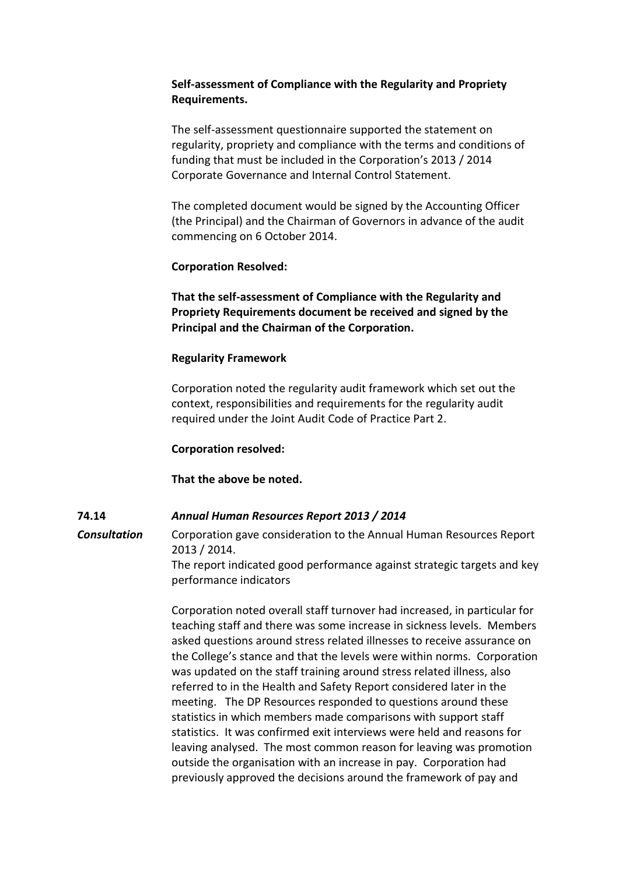# **Self-assessment of Compliance with the Regularity and Propriety Requirements.**

The self-assessment questionnaire supported the statement on regularity, propriety and compliance with the terms and conditions of funding that must be included in the Corporation's 2013 / 2014 Corporate Governance and Internal Control Statement.

The completed document would be signed by the Accounting Officer (the Principal) and the Chairman of Governors in advance of the audit commencing on 6 October 2014.

# **Corporation Resolved:**

**That the self-assessment of Compliance with the Regularity and Propriety Requirements document be received and signed by the Principal and the Chairman of the Corporation.**

# **Regularity Framework**

Corporation noted the regularity audit framework which set out the context, responsibilities and requirements for the regularity audit required under the Joint Audit Code of Practice Part 2.

# **Corporation resolved:**

# **That the above be noted.**

# **74.14** *Annual Human Resources Report 2013 / 2014*

**Consultation** Corporation gave consideration to the Annual Human Resources Report 2013 / 2014. The report indicated good performance against strategic targets and key performance indicators

> Corporation noted overall staff turnover had increased, in particular for teaching staff and there was some increase in sickness levels. Members asked questions around stress related illnesses to receive assurance on the College's stance and that the levels were within norms. Corporation was updated on the staff training around stress related illness, also referred to in the Health and Safety Report considered later in the meeting. The DP Resources responded to questions around these statistics in which members made comparisons with support staff statistics. It was confirmed exit interviews were held and reasons for leaving analysed. The most common reason for leaving was promotion outside the organisation with an increase in pay. Corporation had previously approved the decisions around the framework of pay and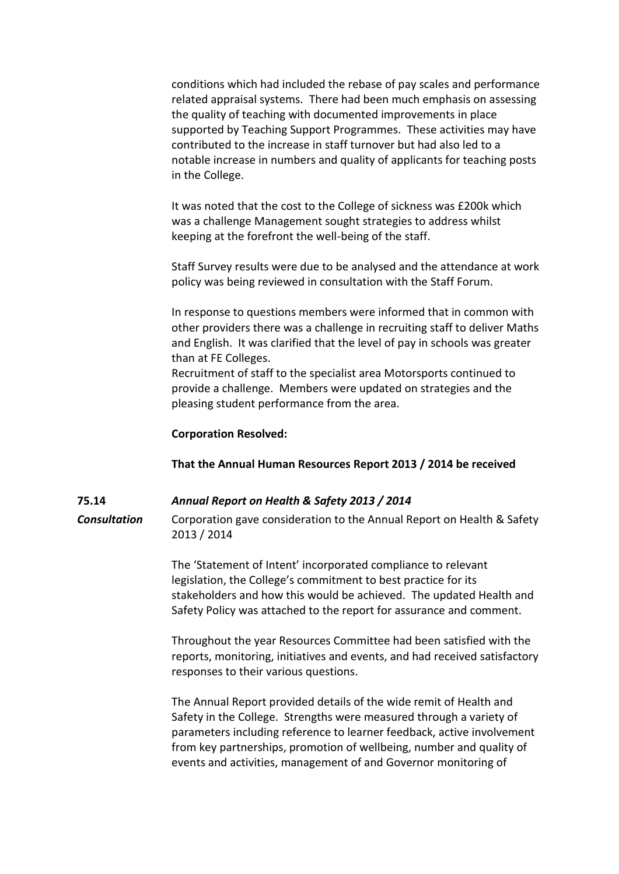conditions which had included the rebase of pay scales and performance related appraisal systems. There had been much emphasis on assessing the quality of teaching with documented improvements in place supported by Teaching Support Programmes. These activities may have contributed to the increase in staff turnover but had also led to a notable increase in numbers and quality of applicants for teaching posts in the College.

It was noted that the cost to the College of sickness was £200k which was a challenge Management sought strategies to address whilst keeping at the forefront the well-being of the staff.

Staff Survey results were due to be analysed and the attendance at work policy was being reviewed in consultation with the Staff Forum.

In response to questions members were informed that in common with other providers there was a challenge in recruiting staff to deliver Maths and English. It was clarified that the level of pay in schools was greater than at FE Colleges.

Recruitment of staff to the specialist area Motorsports continued to provide a challenge. Members were updated on strategies and the pleasing student performance from the area.

#### **Corporation Resolved:**

### **That the Annual Human Resources Report 2013 / 2014 be received**

#### **75.14** *Annual Report on Health & Safety 2013 / 2014*

*Consultation* Corporation gave consideration to the Annual Report on Health & Safety 2013 / 2014

> The 'Statement of Intent' incorporated compliance to relevant legislation, the College's commitment to best practice for its stakeholders and how this would be achieved. The updated Health and Safety Policy was attached to the report for assurance and comment.

Throughout the year Resources Committee had been satisfied with the reports, monitoring, initiatives and events, and had received satisfactory responses to their various questions.

The Annual Report provided details of the wide remit of Health and Safety in the College. Strengths were measured through a variety of parameters including reference to learner feedback, active involvement from key partnerships, promotion of wellbeing, number and quality of events and activities, management of and Governor monitoring of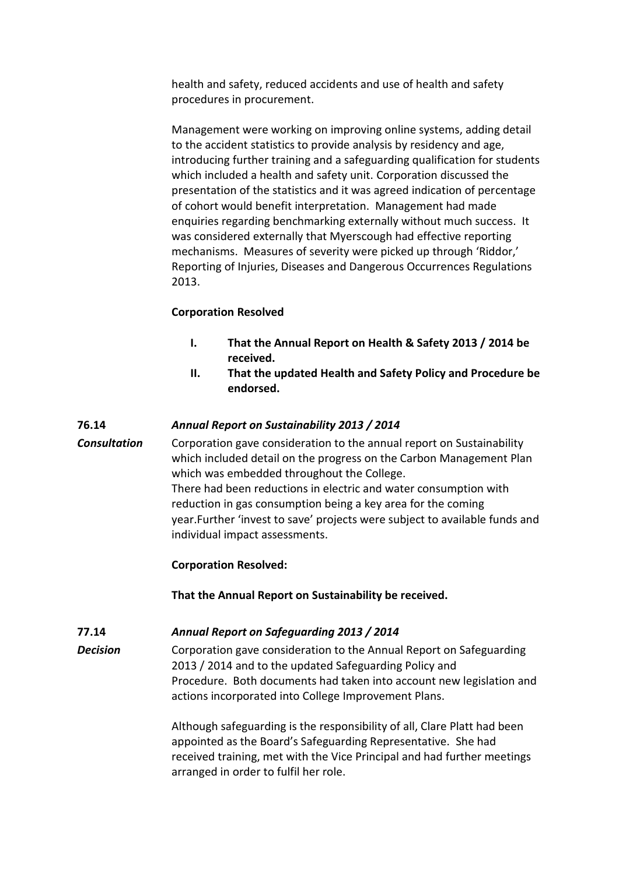health and safety, reduced accidents and use of health and safety procedures in procurement.

Management were working on improving online systems, adding detail to the accident statistics to provide analysis by residency and age, introducing further training and a safeguarding qualification for students which included a health and safety unit. Corporation discussed the presentation of the statistics and it was agreed indication of percentage of cohort would benefit interpretation. Management had made enquiries regarding benchmarking externally without much success. It was considered externally that Myerscough had effective reporting mechanisms. Measures of severity were picked up through 'Riddor,' Reporting of Injuries, Diseases and Dangerous Occurrences Regulations 2013.

### **Corporation Resolved**

- **I. That the Annual Report on Health & Safety 2013 / 2014 be received.**
- **II. That the updated Health and Safety Policy and Procedure be endorsed.**

### **76.14** *Annual Report on Sustainability 2013 / 2014*

*Consultation* Corporation gave consideration to the annual report on Sustainability which included detail on the progress on the Carbon Management Plan which was embedded throughout the College. There had been reductions in electric and water consumption with reduction in gas consumption being a key area for the coming year.Further 'invest to save' projects were subject to available funds and individual impact assessments.

### **Corporation Resolved:**

**That the Annual Report on Sustainability be received.**

# **77.14** *Annual Report on Safeguarding 2013 / 2014*

**Decision** Corporation gave consideration to the Annual Report on Safeguarding 2013 / 2014 and to the updated Safeguarding Policy and Procedure. Both documents had taken into account new legislation and actions incorporated into College Improvement Plans.

> Although safeguarding is the responsibility of all, Clare Platt had been appointed as the Board's Safeguarding Representative. She had received training, met with the Vice Principal and had further meetings arranged in order to fulfil her role.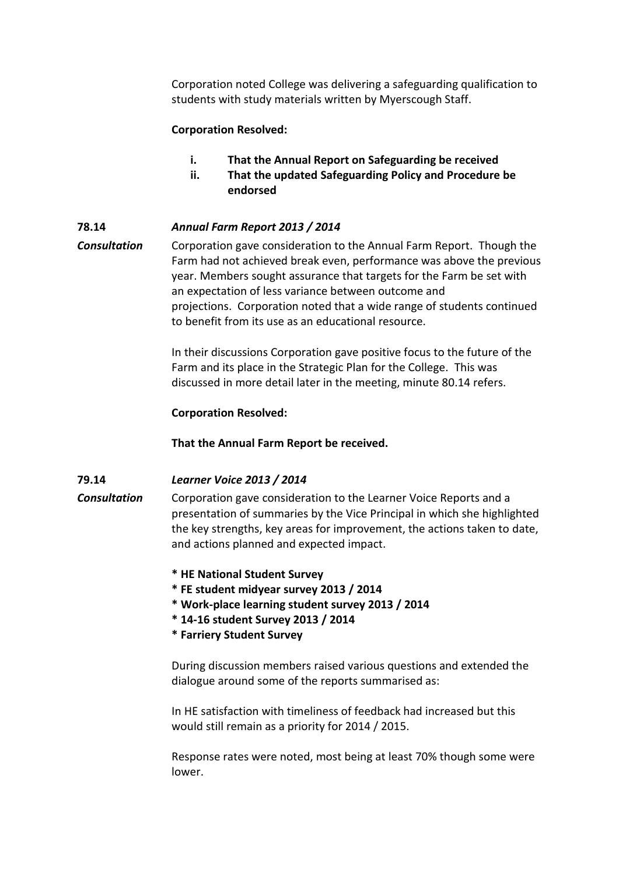Corporation noted College was delivering a safeguarding qualification to students with study materials written by Myerscough Staff.

### **Corporation Resolved:**

- **i. That the Annual Report on Safeguarding be received**
- **ii. That the updated Safeguarding Policy and Procedure be endorsed**

### **78.14** *Annual Farm Report 2013 / 2014*

*Consultation* Corporation gave consideration to the Annual Farm Report. Though the Farm had not achieved break even, performance was above the previous year. Members sought assurance that targets for the Farm be set with an expectation of less variance between outcome and projections. Corporation noted that a wide range of students continued to benefit from its use as an educational resource.

> In their discussions Corporation gave positive focus to the future of the Farm and its place in the Strategic Plan for the College. This was discussed in more detail later in the meeting, minute 80.14 refers.

### **Corporation Resolved:**

**That the Annual Farm Report be received.**

### **79.14** *Learner Voice 2013 / 2014*

*Consultation* Corporation gave consideration to the Learner Voice Reports and a presentation of summaries by the Vice Principal in which she highlighted the key strengths, key areas for improvement, the actions taken to date, and actions planned and expected impact.

- **\* HE National Student Survey**
- **\* FE student midyear survey 2013 / 2014**
- **\* Work-place learning student survey 2013 / 2014**
- **\* 14-16 student Survey 2013 / 2014**
- **\* Farriery Student Survey**

During discussion members raised various questions and extended the dialogue around some of the reports summarised as:

In HE satisfaction with timeliness of feedback had increased but this would still remain as a priority for 2014 / 2015.

Response rates were noted, most being at least 70% though some were lower.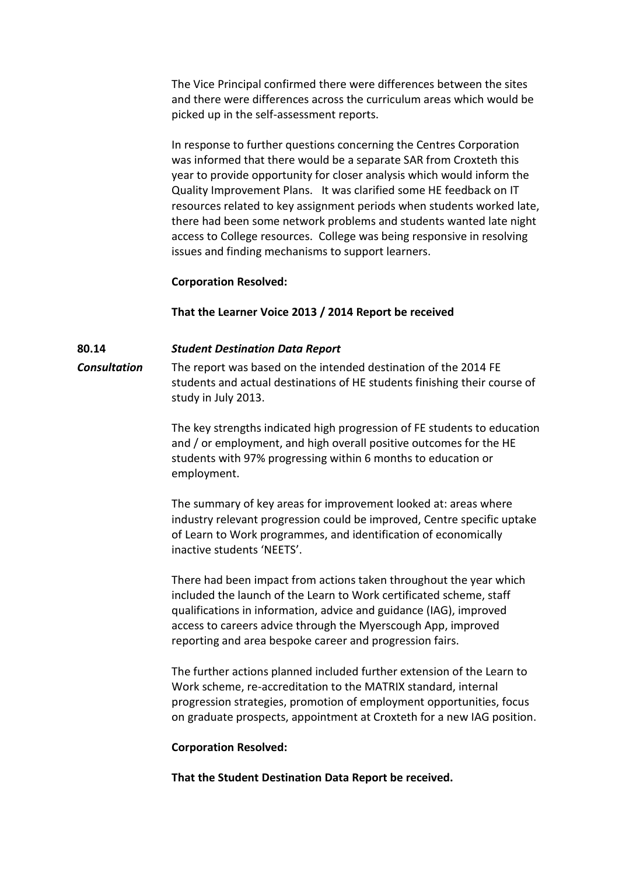The Vice Principal confirmed there were differences between the sites and there were differences across the curriculum areas which would be picked up in the self-assessment reports.

In response to further questions concerning the Centres Corporation was informed that there would be a separate SAR from Croxteth this year to provide opportunity for closer analysis which would inform the Quality Improvement Plans. It was clarified some HE feedback on IT resources related to key assignment periods when students worked late, there had been some network problems and students wanted late night access to College resources. College was being responsive in resolving issues and finding mechanisms to support learners.

### **Corporation Resolved:**

**That the Learner Voice 2013 / 2014 Report be received**

# **80.14** *Student Destination Data Report*

*Consultation* The report was based on the intended destination of the 2014 FE students and actual destinations of HE students finishing their course of study in July 2013.

> The key strengths indicated high progression of FE students to education and / or employment, and high overall positive outcomes for the HE students with 97% progressing within 6 months to education or employment.

> The summary of key areas for improvement looked at: areas where industry relevant progression could be improved, Centre specific uptake of Learn to Work programmes, and identification of economically inactive students 'NEETS'.

There had been impact from actions taken throughout the year which included the launch of the Learn to Work certificated scheme, staff qualifications in information, advice and guidance (IAG), improved access to careers advice through the Myerscough App, improved reporting and area bespoke career and progression fairs.

The further actions planned included further extension of the Learn to Work scheme, re-accreditation to the MATRIX standard, internal progression strategies, promotion of employment opportunities, focus on graduate prospects, appointment at Croxteth for a new IAG position.

### **Corporation Resolved:**

**That the Student Destination Data Report be received.**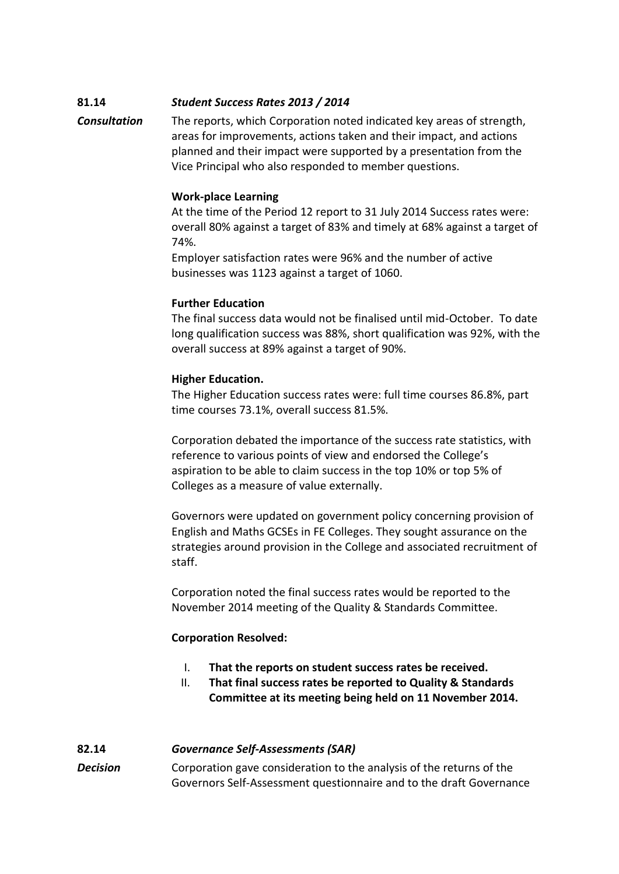# **81.14** *Student Success Rates 2013 / 2014*

*Consultation* The reports, which Corporation noted indicated key areas of strength, areas for improvements, actions taken and their impact, and actions planned and their impact were supported by a presentation from the Vice Principal who also responded to member questions.

# **Work-place Learning**

At the time of the Period 12 report to 31 July 2014 Success rates were: overall 80% against a target of 83% and timely at 68% against a target of 74%.

Employer satisfaction rates were 96% and the number of active businesses was 1123 against a target of 1060.

# **Further Education**

The final success data would not be finalised until mid-October. To date long qualification success was 88%, short qualification was 92%, with the overall success at 89% against a target of 90%.

# **Higher Education.**

The Higher Education success rates were: full time courses 86.8%, part time courses 73.1%, overall success 81.5%.

Corporation debated the importance of the success rate statistics, with reference to various points of view and endorsed the College's aspiration to be able to claim success in the top 10% or top 5% of Colleges as a measure of value externally.

Governors were updated on government policy concerning provision of English and Maths GCSEs in FE Colleges. They sought assurance on the strategies around provision in the College and associated recruitment of staff.

Corporation noted the final success rates would be reported to the November 2014 meeting of the Quality & Standards Committee.

# **Corporation Resolved:**

- I. **That the reports on student success rates be received.**
- II. **That final success rates be reported to Quality & Standards Committee at its meeting being held on 11 November 2014.**

# **82.14** *Governance Self-Assessments (SAR)*

*Decision* Corporation gave consideration to the analysis of the returns of the Governors Self-Assessment questionnaire and to the draft Governance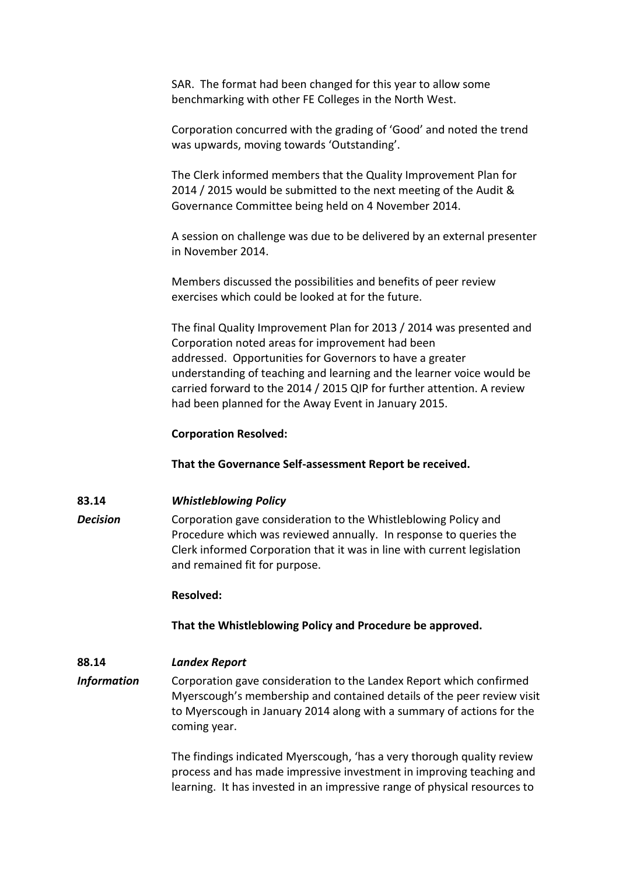SAR. The format had been changed for this year to allow some benchmarking with other FE Colleges in the North West.

Corporation concurred with the grading of 'Good' and noted the trend was upwards, moving towards 'Outstanding'.

The Clerk informed members that the Quality Improvement Plan for 2014 / 2015 would be submitted to the next meeting of the Audit & Governance Committee being held on 4 November 2014.

A session on challenge was due to be delivered by an external presenter in November 2014.

Members discussed the possibilities and benefits of peer review exercises which could be looked at for the future.

The final Quality Improvement Plan for 2013 / 2014 was presented and Corporation noted areas for improvement had been addressed. Opportunities for Governors to have a greater understanding of teaching and learning and the learner voice would be carried forward to the 2014 / 2015 QIP for further attention. A review had been planned for the Away Event in January 2015.

### **Corporation Resolved:**

**That the Governance Self-assessment Report be received.**

# **83.14** *Whistleblowing Policy*

*Decision* Corporation gave consideration to the Whistleblowing Policy and Procedure which was reviewed annually. In response to queries the Clerk informed Corporation that it was in line with current legislation and remained fit for purpose.

### **Resolved:**

**That the Whistleblowing Policy and Procedure be approved.**

# **88.14** *Landex Report*

*Information* Corporation gave consideration to the Landex Report which confirmed Myerscough's membership and contained details of the peer review visit to Myerscough in January 2014 along with a summary of actions for the coming year.

> The findings indicated Myerscough, 'has a very thorough quality review process and has made impressive investment in improving teaching and learning. It has invested in an impressive range of physical resources to